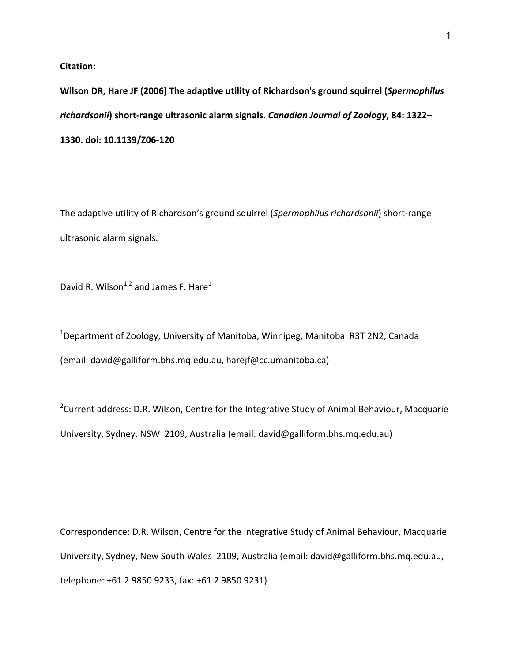**Citation:**

Wilson DR, Hare JF (2006) The adaptive utility of Richardson's ground squirrel (*Spermophilus richardsonii***) short-range ultrasonic alarm signals.** *Canadian Journal of Zoology***, 84: 1322– 1330. doi: 10.1139/Z06-120**

The adaptive utility of Richardson's ground squirrel (Spermophilus richardsonii) short-range ultrasonic alarm signals.

David R. Wilson<sup>1,2</sup> and James F. Hare<sup>1</sup>

 $1$ Department of Zoology, University of Manitoba, Winnipeg, Manitoba R3T 2N2, Canada (email: david@galliform.bhs.mq.edu.au, harejf@cc.umanitoba.ca)

 $2$ Current address: D.R. Wilson, Centre for the Integrative Study of Animal Behaviour, Macquarie University, Sydney, NSW 2109, Australia (email: david@galliform.bhs.mq.edu.au)

Correspondence: D.R. Wilson, Centre for the Integrative Study of Animal Behaviour, Macquarie University, Sydney, New South Wales 2109, Australia (email: david@galliform.bhs.mq.edu.au, telephone: +61 2 9850 9233, fax: +61 2 9850 9231)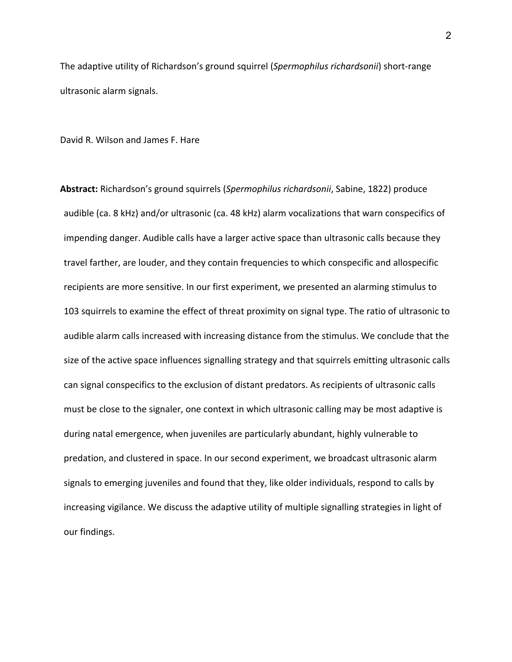The adaptive utility of Richardson's ground squirrel (*Spermophilus richardsonii*) short-range ultrasonic alarm signals.

David R. Wilson and James F. Hare

Abstract: Richardson's ground squirrels (Spermophilus richardsonii, Sabine, 1822) produce audible (ca. 8 kHz) and/or ultrasonic (ca. 48 kHz) alarm vocalizations that warn conspecifics of impending danger. Audible calls have a larger active space than ultrasonic calls because they travel farther, are louder, and they contain frequencies to which conspecific and allospecific recipients are more sensitive. In our first experiment, we presented an alarming stimulus to 103 squirrels to examine the effect of threat proximity on signal type. The ratio of ultrasonic to audible alarm calls increased with increasing distance from the stimulus. We conclude that the size of the active space influences signalling strategy and that squirrels emitting ultrasonic calls can signal conspecifics to the exclusion of distant predators. As recipients of ultrasonic calls must be close to the signaler, one context in which ultrasonic calling may be most adaptive is during natal emergence, when juveniles are particularly abundant, highly vulnerable to predation, and clustered in space. In our second experiment, we broadcast ultrasonic alarm signals to emerging juveniles and found that they, like older individuals, respond to calls by increasing vigilance. We discuss the adaptive utility of multiple signalling strategies in light of our findings.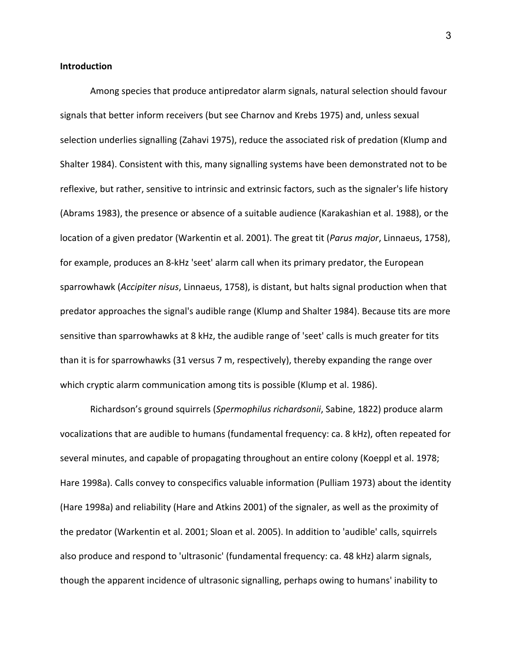### **Introduction**

Among species that produce antipredator alarm signals, natural selection should favour signals that better inform receivers (but see Charnov and Krebs 1975) and, unless sexual selection underlies signalling (Zahavi 1975), reduce the associated risk of predation (Klump and Shalter 1984). Consistent with this, many signalling systems have been demonstrated not to be reflexive, but rather, sensitive to intrinsic and extrinsic factors, such as the signaler's life history (Abrams 1983), the presence or absence of a suitable audience (Karakashian et al. 1988), or the location of a given predator (Warkentin et al. 2001). The great tit (*Parus major*, Linnaeus, 1758), for example, produces an 8-kHz 'seet' alarm call when its primary predator, the European sparrowhawk (*Accipiter nisus*, Linnaeus, 1758), is distant, but halts signal production when that predator approaches the signal's audible range (Klump and Shalter 1984). Because tits are more sensitive than sparrowhawks at 8 kHz, the audible range of 'seet' calls is much greater for tits than it is for sparrowhawks (31 versus 7 m, respectively), thereby expanding the range over which cryptic alarm communication among tits is possible (Klump et al. 1986).

Richardson's ground squirrels (Spermophilus richardsonii, Sabine, 1822) produce alarm vocalizations that are audible to humans (fundamental frequency: ca. 8 kHz), often repeated for several minutes, and capable of propagating throughout an entire colony (Koeppl et al. 1978; Hare 1998a). Calls convey to conspecifics valuable information (Pulliam 1973) about the identity (Hare 1998a) and reliability (Hare and Atkins 2001) of the signaler, as well as the proximity of the predator (Warkentin et al. 2001; Sloan et al. 2005). In addition to 'audible' calls, squirrels also produce and respond to 'ultrasonic' (fundamental frequency: ca. 48 kHz) alarm signals, though the apparent incidence of ultrasonic signalling, perhaps owing to humans' inability to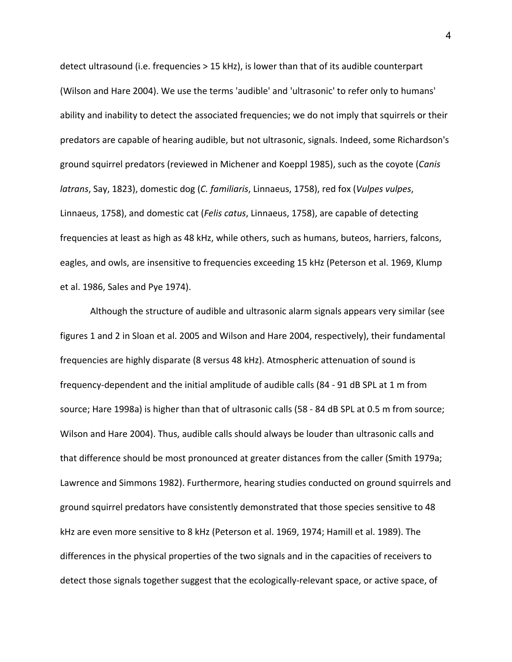detect ultrasound (i.e. frequencies > 15 kHz), is lower than that of its audible counterpart (Wilson and Hare 2004). We use the terms 'audible' and 'ultrasonic' to refer only to humans' ability and inability to detect the associated frequencies; we do not imply that squirrels or their predators are capable of hearing audible, but not ultrasonic, signals. Indeed, some Richardson's ground squirrel predators (reviewed in Michener and Koeppl 1985), such as the coyote (*Canis latrans*, Say, 1823), domestic dog (*C. familiaris*, Linnaeus, 1758), red fox (*Vulpes vulpes*, Linnaeus, 1758), and domestic cat (*Felis catus*, Linnaeus, 1758), are capable of detecting frequencies at least as high as 48 kHz, while others, such as humans, buteos, harriers, falcons, eagles, and owls, are insensitive to frequencies exceeding 15 kHz (Peterson et al. 1969, Klump et al. 1986, Sales and Pye 1974).

Although the structure of audible and ultrasonic alarm signals appears very similar (see figures 1 and 2 in Sloan et al. 2005 and Wilson and Hare 2004, respectively), their fundamental frequencies are highly disparate (8 versus 48 kHz). Atmospheric attenuation of sound is frequency-dependent and the initial amplitude of audible calls (84 - 91 dB SPL at 1 m from source; Hare 1998a) is higher than that of ultrasonic calls (58 - 84 dB SPL at 0.5 m from source; Wilson and Hare 2004). Thus, audible calls should always be louder than ultrasonic calls and that difference should be most pronounced at greater distances from the caller (Smith 1979a; Lawrence and Simmons 1982). Furthermore, hearing studies conducted on ground squirrels and ground squirrel predators have consistently demonstrated that those species sensitive to 48 kHz are even more sensitive to 8 kHz (Peterson et al. 1969, 1974; Hamill et al. 1989). The differences in the physical properties of the two signals and in the capacities of receivers to detect those signals together suggest that the ecologically-relevant space, or active space, of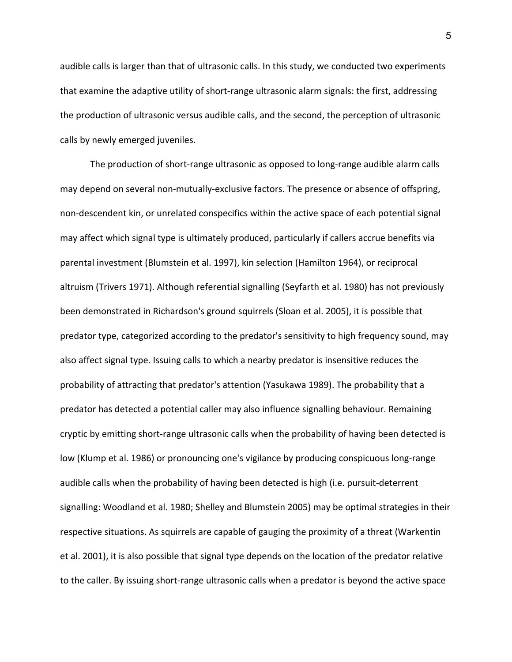audible calls is larger than that of ultrasonic calls. In this study, we conducted two experiments that examine the adaptive utility of short-range ultrasonic alarm signals: the first, addressing the production of ultrasonic versus audible calls, and the second, the perception of ultrasonic calls by newly emerged juveniles.

The production of short-range ultrasonic as opposed to long-range audible alarm calls may depend on several non-mutually-exclusive factors. The presence or absence of offspring, non-descendent kin, or unrelated conspecifics within the active space of each potential signal may affect which signal type is ultimately produced, particularly if callers accrue benefits via parental investment (Blumstein et al. 1997), kin selection (Hamilton 1964), or reciprocal altruism (Trivers 1971). Although referential signalling (Seyfarth et al. 1980) has not previously been demonstrated in Richardson's ground squirrels (Sloan et al. 2005), it is possible that predator type, categorized according to the predator's sensitivity to high frequency sound, may also affect signal type. Issuing calls to which a nearby predator is insensitive reduces the probability of attracting that predator's attention (Yasukawa 1989). The probability that a predator has detected a potential caller may also influence signalling behaviour. Remaining cryptic by emitting short-range ultrasonic calls when the probability of having been detected is low (Klump et al. 1986) or pronouncing one's vigilance by producing conspicuous long-range audible calls when the probability of having been detected is high (i.e. pursuit-deterrent signalling: Woodland et al. 1980; Shelley and Blumstein 2005) may be optimal strategies in their respective situations. As squirrels are capable of gauging the proximity of a threat (Warkentin et al. 2001), it is also possible that signal type depends on the location of the predator relative to the caller. By issuing short-range ultrasonic calls when a predator is beyond the active space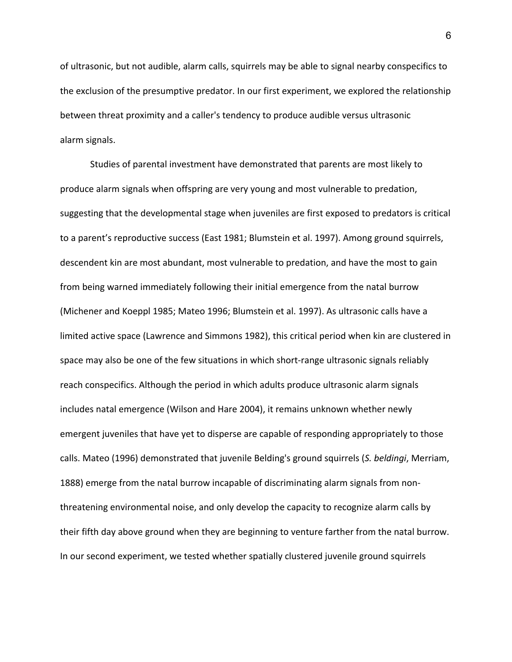of ultrasonic, but not audible, alarm calls, squirrels may be able to signal nearby conspecifics to the exclusion of the presumptive predator. In our first experiment, we explored the relationship between threat proximity and a caller's tendency to produce audible versus ultrasonic alarm signals.

Studies of parental investment have demonstrated that parents are most likely to produce alarm signals when offspring are very young and most vulnerable to predation, suggesting that the developmental stage when juveniles are first exposed to predators is critical to a parent's reproductive success (East 1981; Blumstein et al. 1997). Among ground squirrels, descendent kin are most abundant, most vulnerable to predation, and have the most to gain from being warned immediately following their initial emergence from the natal burrow (Michener and Koeppl 1985; Mateo 1996; Blumstein et al. 1997). As ultrasonic calls have a limited active space (Lawrence and Simmons 1982), this critical period when kin are clustered in space may also be one of the few situations in which short-range ultrasonic signals reliably reach conspecifics. Although the period in which adults produce ultrasonic alarm signals includes natal emergence (Wilson and Hare 2004), it remains unknown whether newly emergent juveniles that have yet to disperse are capable of responding appropriately to those calls. Mateo (1996) demonstrated that juvenile Belding's ground squirrels (S. beldingi, Merriam, 1888) emerge from the natal burrow incapable of discriminating alarm signals from nonthreatening environmental noise, and only develop the capacity to recognize alarm calls by their fifth day above ground when they are beginning to venture farther from the natal burrow. In our second experiment, we tested whether spatially clustered juvenile ground squirrels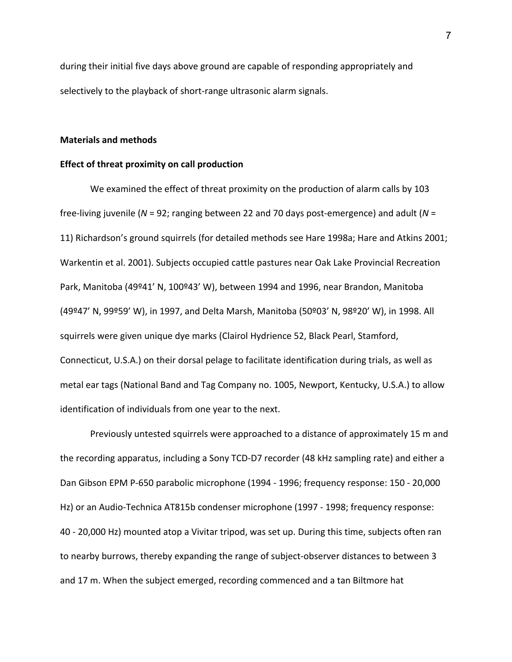during their initial five days above ground are capable of responding appropriately and selectively to the playback of short-range ultrasonic alarm signals.

## **Materials and methods**

# **Effect of threat proximity on call production**

We examined the effect of threat proximity on the production of alarm calls by 103 free-living juvenile  $(N = 92$ ; ranging between 22 and 70 days post-emergence) and adult  $(N = 100)$ 11) Richardson's ground squirrels (for detailed methods see Hare 1998a; Hare and Atkins 2001; Warkentin et al. 2001). Subjects occupied cattle pastures near Oak Lake Provincial Recreation Park, Manitoba (49º41' N, 100º43' W), between 1994 and 1996, near Brandon, Manitoba (49º47' N, 99º59' W), in 1997, and Delta Marsh, Manitoba (50º03' N, 98º20' W), in 1998. All squirrels were given unique dye marks (Clairol Hydrience 52, Black Pearl, Stamford, Connecticut, U.S.A.) on their dorsal pelage to facilitate identification during trials, as well as metal ear tags (National Band and Tag Company no. 1005, Newport, Kentucky, U.S.A.) to allow identification of individuals from one year to the next.

Previously untested squirrels were approached to a distance of approximately 15 m and the recording apparatus, including a Sony TCD-D7 recorder (48 kHz sampling rate) and either a Dan Gibson EPM P-650 parabolic microphone (1994 - 1996; frequency response: 150 - 20,000 Hz) or an Audio-Technica AT815b condenser microphone (1997 - 1998; frequency response: 40 - 20,000 Hz) mounted atop a Vivitar tripod, was set up. During this time, subjects often ran to nearby burrows, thereby expanding the range of subject-observer distances to between 3 and 17 m. When the subject emerged, recording commenced and a tan Biltmore hat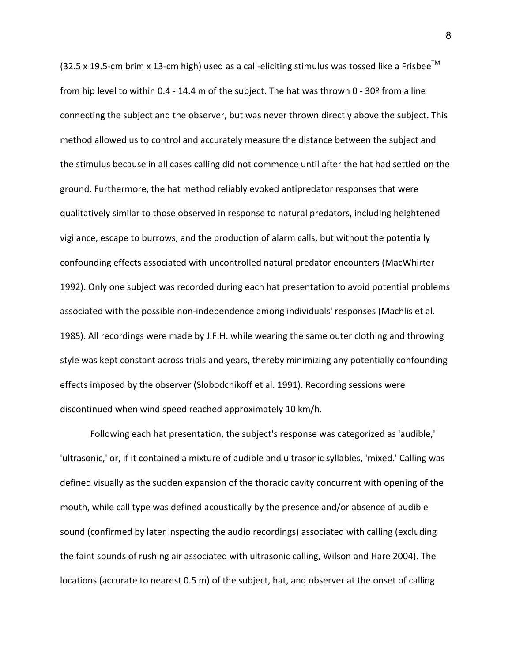$(32.5 \times 19.5$ -cm brim x 13-cm high) used as a call-eliciting stimulus was tossed like a Frisbee<sup>TM</sup> from hip level to within 0.4 - 14.4 m of the subject. The hat was thrown 0 - 30<sup>o</sup> from a line connecting the subject and the observer, but was never thrown directly above the subject. This method allowed us to control and accurately measure the distance between the subject and the stimulus because in all cases calling did not commence until after the hat had settled on the ground. Furthermore, the hat method reliably evoked antipredator responses that were qualitatively similar to those observed in response to natural predators, including heightened vigilance, escape to burrows, and the production of alarm calls, but without the potentially confounding effects associated with uncontrolled natural predator encounters (MacWhirter 1992). Only one subject was recorded during each hat presentation to avoid potential problems associated with the possible non-independence among individuals' responses (Machlis et al. 1985). All recordings were made by J.F.H. while wearing the same outer clothing and throwing style was kept constant across trials and years, thereby minimizing any potentially confounding effects imposed by the observer (Slobodchikoff et al. 1991). Recording sessions were discontinued when wind speed reached approximately 10 km/h.

Following each hat presentation, the subject's response was categorized as 'audible,' 'ultrasonic,' or, if it contained a mixture of audible and ultrasonic syllables, 'mixed.' Calling was defined visually as the sudden expansion of the thoracic cavity concurrent with opening of the mouth, while call type was defined acoustically by the presence and/or absence of audible sound (confirmed by later inspecting the audio recordings) associated with calling (excluding the faint sounds of rushing air associated with ultrasonic calling, Wilson and Hare 2004). The locations (accurate to nearest 0.5 m) of the subject, hat, and observer at the onset of calling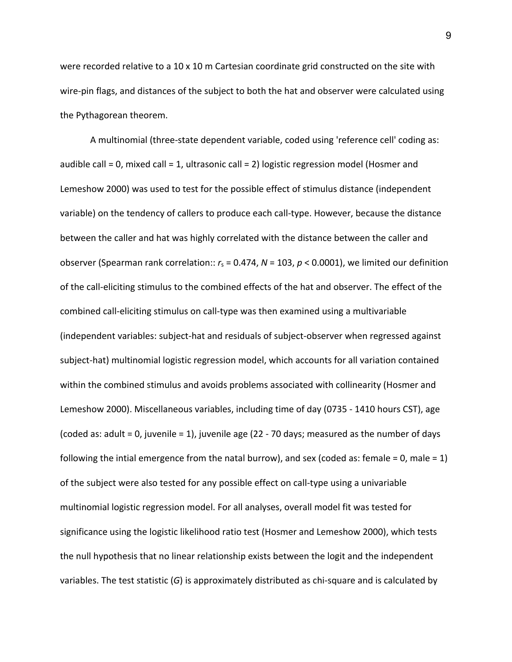were recorded relative to a 10 x 10 m Cartesian coordinate grid constructed on the site with wire-pin flags, and distances of the subject to both the hat and observer were calculated using the Pythagorean theorem.

A multinomial (three-state dependent variable, coded using 'reference cell' coding as: audible call = 0, mixed call = 1, ultrasonic call = 2) logistic regression model (Hosmer and Lemeshow 2000) was used to test for the possible effect of stimulus distance (independent variable) on the tendency of callers to produce each call-type. However, because the distance between the caller and hat was highly correlated with the distance between the caller and observer (Spearman rank correlation::  $r_s = 0.474$ ,  $N = 103$ ,  $p < 0.0001$ ), we limited our definition of the call-eliciting stimulus to the combined effects of the hat and observer. The effect of the combined call-eliciting stimulus on call-type was then examined using a multivariable (independent variables: subject-hat and residuals of subject-observer when regressed against subject-hat) multinomial logistic regression model, which accounts for all variation contained within the combined stimulus and avoids problems associated with collinearity (Hosmer and Lemeshow 2000). Miscellaneous variables, including time of day (0735 - 1410 hours CST), age (coded as: adult = 0, juvenile = 1), juvenile age  $(22 - 70 \text{ days})$  measured as the number of days following the intial emergence from the natal burrow), and sex (coded as: female = 0, male = 1) of the subject were also tested for any possible effect on call-type using a univariable multinomial logistic regression model. For all analyses, overall model fit was tested for significance using the logistic likelihood ratio test (Hosmer and Lemeshow 2000), which tests the null hypothesis that no linear relationship exists between the logit and the independent variables. The test statistic  $(G)$  is approximately distributed as chi-square and is calculated by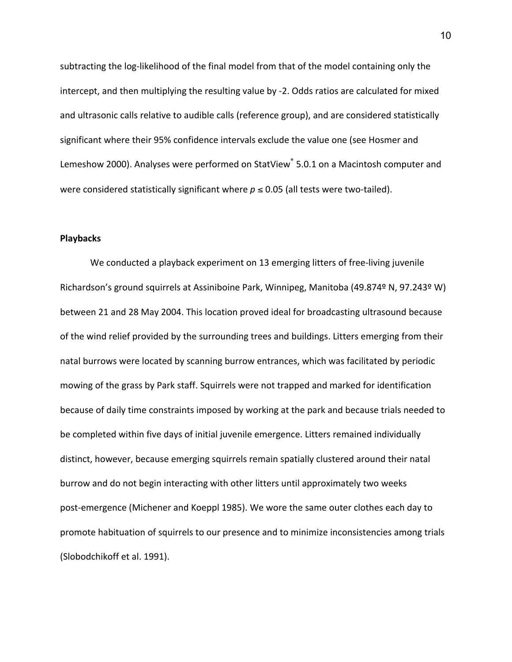subtracting the log-likelihood of the final model from that of the model containing only the intercept, and then multiplying the resulting value by -2. Odds ratios are calculated for mixed and ultrasonic calls relative to audible calls (reference group), and are considered statistically significant where their 95% confidence intervals exclude the value one (see Hosmer and Lemeshow 2000). Analyses were performed on StatView<sup>®</sup> 5.0.1 on a Macintosh computer and were considered statistically significant where  $p \le 0.05$  (all tests were two-tailed).

## **Playbacks**

We conducted a playback experiment on 13 emerging litters of free-living juvenile Richardson's ground squirrels at Assiniboine Park, Winnipeg, Manitoba (49.874° N, 97.243° W) between 21 and 28 May 2004. This location proved ideal for broadcasting ultrasound because of the wind relief provided by the surrounding trees and buildings. Litters emerging from their natal burrows were located by scanning burrow entrances, which was facilitated by periodic mowing of the grass by Park staff. Squirrels were not trapped and marked for identification because of daily time constraints imposed by working at the park and because trials needed to be completed within five days of initial juvenile emergence. Litters remained individually distinct, however, because emerging squirrels remain spatially clustered around their natal burrow and do not begin interacting with other litters until approximately two weeks post-emergence (Michener and Koeppl 1985). We wore the same outer clothes each day to promote habituation of squirrels to our presence and to minimize inconsistencies among trials (Slobodchikoff et al. 1991).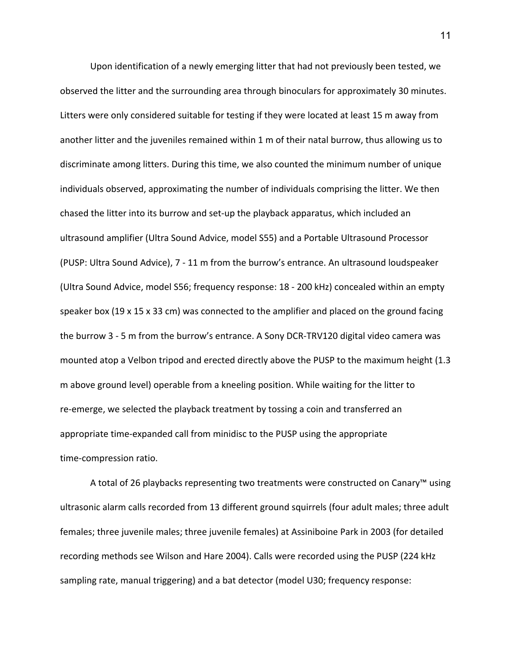Upon identification of a newly emerging litter that had not previously been tested, we observed the litter and the surrounding area through binoculars for approximately 30 minutes. Litters were only considered suitable for testing if they were located at least 15 m away from another litter and the juveniles remained within 1 m of their natal burrow, thus allowing us to discriminate among litters. During this time, we also counted the minimum number of unique individuals observed, approximating the number of individuals comprising the litter. We then chased the litter into its burrow and set-up the playback apparatus, which included an ultrasound amplifier (Ultra Sound Advice, model S55) and a Portable Ultrasound Processor (PUSP: Ultra Sound Advice), 7 - 11 m from the burrow's entrance. An ultrasound loudspeaker (Ultra Sound Advice, model S56; frequency response: 18 - 200 kHz) concealed within an empty speaker box (19 x 15 x 33 cm) was connected to the amplifier and placed on the ground facing the burrow 3 - 5 m from the burrow's entrance. A Sony DCR-TRV120 digital video camera was mounted atop a Velbon tripod and erected directly above the PUSP to the maximum height (1.3 m above ground level) operable from a kneeling position. While waiting for the litter to re-emerge, we selected the playback treatment by tossing a coin and transferred an appropriate time-expanded call from minidisc to the PUSP using the appropriate time-compression ratio.

A total of 26 playbacks representing two treatments were constructed on Canary™ using ultrasonic alarm calls recorded from 13 different ground squirrels (four adult males; three adult females; three juvenile males; three juvenile females) at Assiniboine Park in 2003 (for detailed recording methods see Wilson and Hare 2004). Calls were recorded using the PUSP (224 kHz sampling rate, manual triggering) and a bat detector (model U30; frequency response: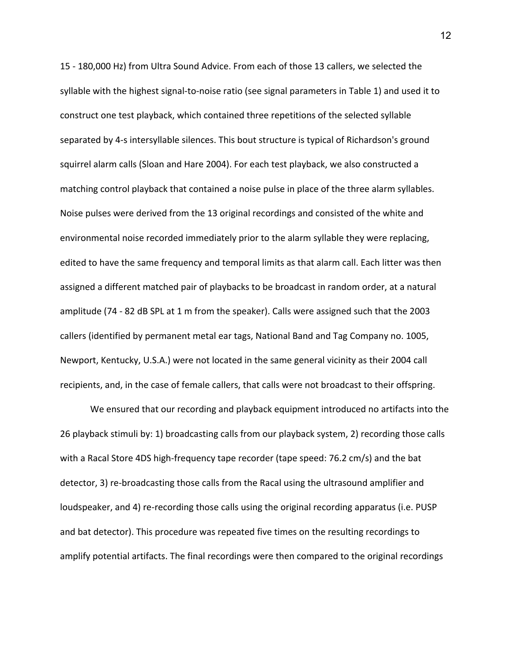15 - 180,000 Hz) from Ultra Sound Advice. From each of those 13 callers, we selected the syllable with the highest signal-to-noise ratio (see signal parameters in Table 1) and used it to construct one test playback, which contained three repetitions of the selected syllable separated by 4-s intersyllable silences. This bout structure is typical of Richardson's ground squirrel alarm calls (Sloan and Hare 2004). For each test playback, we also constructed a matching control playback that contained a noise pulse in place of the three alarm syllables. Noise pulses were derived from the 13 original recordings and consisted of the white and environmental noise recorded immediately prior to the alarm syllable they were replacing, edited to have the same frequency and temporal limits as that alarm call. Each litter was then assigned a different matched pair of playbacks to be broadcast in random order, at a natural amplitude (74 - 82 dB SPL at 1 m from the speaker). Calls were assigned such that the 2003 callers (identified by permanent metal ear tags, National Band and Tag Company no. 1005, Newport, Kentucky, U.S.A.) were not located in the same general vicinity as their 2004 call recipients, and, in the case of female callers, that calls were not broadcast to their offspring.

We ensured that our recording and playback equipment introduced no artifacts into the 26 playback stimuli by: 1) broadcasting calls from our playback system, 2) recording those calls with a Racal Store 4DS high-frequency tape recorder (tape speed:  $76.2$  cm/s) and the bat detector, 3) re-broadcasting those calls from the Racal using the ultrasound amplifier and loudspeaker, and 4) re-recording those calls using the original recording apparatus (i.e. PUSP and bat detector). This procedure was repeated five times on the resulting recordings to amplify potential artifacts. The final recordings were then compared to the original recordings

12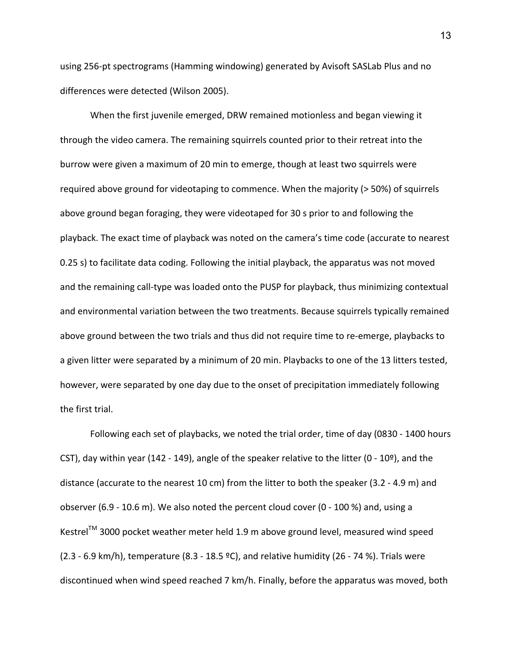using 256-pt spectrograms (Hamming windowing) generated by Avisoft SASLab Plus and no differences were detected (Wilson 2005).

When the first juvenile emerged, DRW remained motionless and began viewing it through the video camera. The remaining squirrels counted prior to their retreat into the burrow were given a maximum of 20 min to emerge, though at least two squirrels were required above ground for videotaping to commence. When the majority (> 50%) of squirrels above ground began foraging, they were videotaped for 30 s prior to and following the playback. The exact time of playback was noted on the camera's time code (accurate to nearest 0.25 s) to facilitate data coding. Following the initial playback, the apparatus was not moved and the remaining call-type was loaded onto the PUSP for playback, thus minimizing contextual and environmental variation between the two treatments. Because squirrels typically remained above ground between the two trials and thus did not require time to re-emerge, playbacks to a given litter were separated by a minimum of 20 min. Playbacks to one of the 13 litters tested, however, were separated by one day due to the onset of precipitation immediately following the first trial.

Following each set of playbacks, we noted the trial order, time of day (0830 - 1400 hours CST), day within year (142 - 149), angle of the speaker relative to the litter (0 - 10<sup>o</sup>), and the distance (accurate to the nearest 10 cm) from the litter to both the speaker (3.2 - 4.9 m) and observer (6.9 - 10.6 m). We also noted the percent cloud cover (0 - 100 %) and, using a Kestrel<sup>TM</sup> 3000 pocket weather meter held 1.9 m above ground level, measured wind speed  $(2.3 - 6.9 \text{ km/h})$ , temperature  $(8.3 - 18.5 \text{ }^{\circ}\text{C})$ , and relative humidity  $(26 - 74 \text{ %})$ . Trials were discontinued when wind speed reached 7 km/h. Finally, before the apparatus was moved, both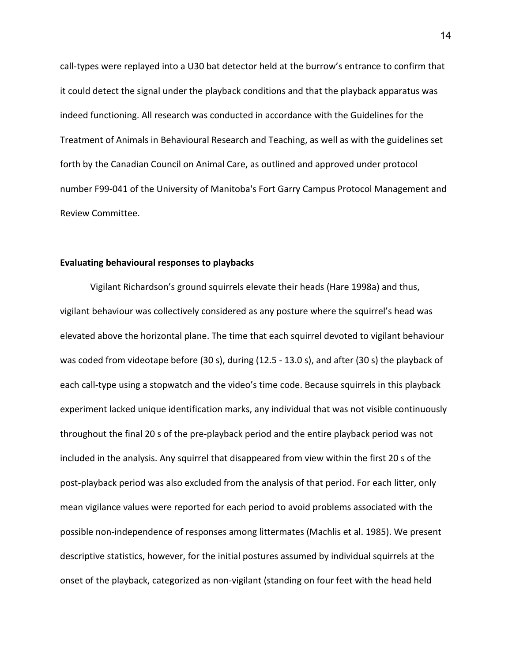call-types were replayed into a U30 bat detector held at the burrow's entrance to confirm that it could detect the signal under the playback conditions and that the playback apparatus was indeed functioning. All research was conducted in accordance with the Guidelines for the Treatment of Animals in Behavioural Research and Teaching, as well as with the guidelines set forth by the Canadian Council on Animal Care, as outlined and approved under protocol number F99-041 of the University of Manitoba's Fort Garry Campus Protocol Management and Review Committee.

## **Evaluating behavioural responses to playbacks**

Vigilant Richardson's ground squirrels elevate their heads (Hare 1998a) and thus, vigilant behaviour was collectively considered as any posture where the squirrel's head was elevated above the horizontal plane. The time that each squirrel devoted to vigilant behaviour was coded from videotape before (30 s), during (12.5 - 13.0 s), and after (30 s) the playback of each call-type using a stopwatch and the video's time code. Because squirrels in this playback experiment lacked unique identification marks, any individual that was not visible continuously throughout the final 20 s of the pre-playback period and the entire playback period was not included in the analysis. Any squirrel that disappeared from view within the first 20 s of the post-playback period was also excluded from the analysis of that period. For each litter, only mean vigilance values were reported for each period to avoid problems associated with the possible non-independence of responses among littermates (Machlis et al. 1985). We present descriptive statistics, however, for the initial postures assumed by individual squirrels at the onset of the playback, categorized as non-vigilant (standing on four feet with the head held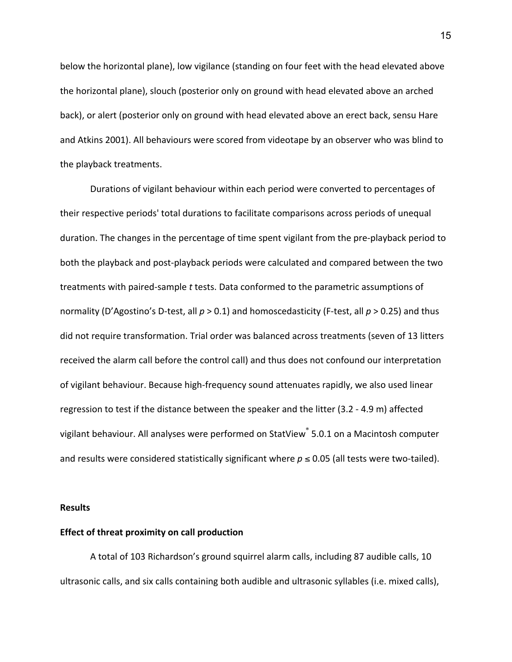below the horizontal plane), low vigilance (standing on four feet with the head elevated above the horizontal plane), slouch (posterior only on ground with head elevated above an arched back), or alert (posterior only on ground with head elevated above an erect back, sensu Hare and Atkins 2001). All behaviours were scored from videotape by an observer who was blind to the playback treatments.

Durations of vigilant behaviour within each period were converted to percentages of their respective periods' total durations to facilitate comparisons across periods of unequal duration. The changes in the percentage of time spent vigilant from the pre-playback period to both the playback and post-playback periods were calculated and compared between the two treatments with paired-sample *t* tests. Data conformed to the parametric assumptions of normality (D'Agostino's D-test, all  $p > 0.1$ ) and homoscedasticity (F-test, all  $p > 0.25$ ) and thus did not require transformation. Trial order was balanced across treatments (seven of 13 litters received the alarm call before the control call) and thus does not confound our interpretation of vigilant behaviour. Because high-frequency sound attenuates rapidly, we also used linear regression to test if the distance between the speaker and the litter (3.2 - 4.9 m) affected vigilant behaviour. All analyses were performed on StatView<sup>®</sup> 5.0.1 on a Macintosh computer and results were considered statistically significant where  $p \le 0.05$  (all tests were two-tailed).

#### **Results**

#### **Effect of threat proximity on call production**

A total of 103 Richardson's ground squirrel alarm calls, including 87 audible calls, 10 ultrasonic calls, and six calls containing both audible and ultrasonic syllables (i.e. mixed calls),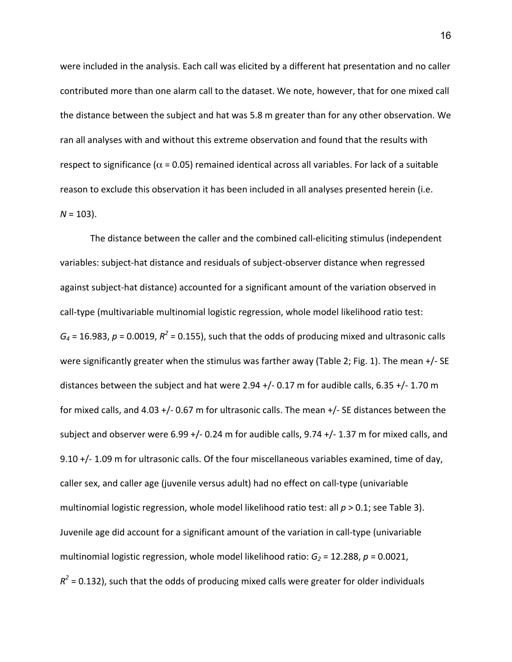were included in the analysis. Each call was elicited by a different hat presentation and no caller contributed more than one alarm call to the dataset. We note, however, that for one mixed call the distance between the subject and hat was 5.8 m greater than for any other observation. We ran all analyses with and without this extreme observation and found that the results with respect to significance ( $\alpha$  = 0.05) remained identical across all variables. For lack of a suitable reason to exclude this observation it has been included in all analyses presented herein (i.e.  $N = 103$ ).

The distance between the caller and the combined call-eliciting stimulus (independent variables: subject-hat distance and residuals of subject-observer distance when regressed against subject-hat distance) accounted for a significant amount of the variation observed in call-type (multivariable multinomial logistic regression, whole model likelihood ratio test:  $G_4$  = 16.983,  $p$  = 0.0019,  $R^2$  = 0.155), such that the odds of producing mixed and ultrasonic calls were significantly greater when the stimulus was farther away (Table 2; Fig. 1). The mean  $+/-$  SE distances between the subject and hat were 2.94 +/- 0.17 m for audible calls, 6.35 +/- 1.70 m for mixed calls, and 4.03 +/- 0.67 m for ultrasonic calls. The mean +/- SE distances between the subject and observer were 6.99 +/- 0.24 m for audible calls,  $9.74 +$ /- 1.37 m for mixed calls, and 9.10  $+$ /- 1.09 m for ultrasonic calls. Of the four miscellaneous variables examined, time of day, caller sex, and caller age (juvenile versus adult) had no effect on call-type (univariable multinomial logistic regression, whole model likelihood ratio test: all  $p > 0.1$ ; see Table 3). Juvenile age did account for a significant amount of the variation in call-type (univariable multinomial logistic regression, whole model likelihood ratio:  $G_2$  = 12.288,  $p$  = 0.0021,  $R^2$  = 0.132), such that the odds of producing mixed calls were greater for older individuals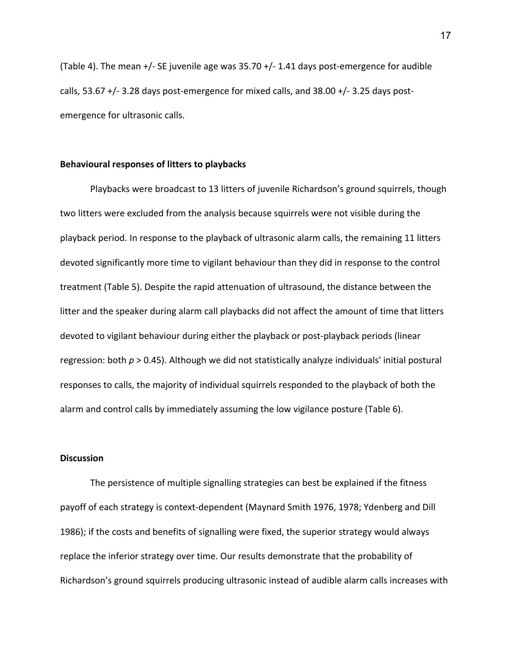(Table 4). The mean  $+/-$  SE juvenile age was 35.70  $+/-$  1.41 days post-emergence for audible calls,  $53.67 +$ /- 3.28 days post-emergence for mixed calls, and  $38.00 +$ /- 3.25 days postemergence for ultrasonic calls.

# **Behavioural responses of litters to playbacks**

Playbacks were broadcast to 13 litters of juvenile Richardson's ground squirrels, though two litters were excluded from the analysis because squirrels were not visible during the playback period. In response to the playback of ultrasonic alarm calls, the remaining 11 litters devoted significantly more time to vigilant behaviour than they did in response to the control treatment (Table 5). Despite the rapid attenuation of ultrasound, the distance between the litter and the speaker during alarm call playbacks did not affect the amount of time that litters devoted to vigilant behaviour during either the playback or post-playback periods (linear regression: both  $p > 0.45$ ). Although we did not statistically analyze individuals' initial postural responses to calls, the majority of individual squirrels responded to the playback of both the alarm and control calls by immediately assuming the low vigilance posture (Table 6).

# **Discussion**

The persistence of multiple signalling strategies can best be explained if the fitness payoff of each strategy is context-dependent (Maynard Smith 1976, 1978; Ydenberg and Dill 1986); if the costs and benefits of signalling were fixed, the superior strategy would always replace the inferior strategy over time. Our results demonstrate that the probability of Richardson's ground squirrels producing ultrasonic instead of audible alarm calls increases with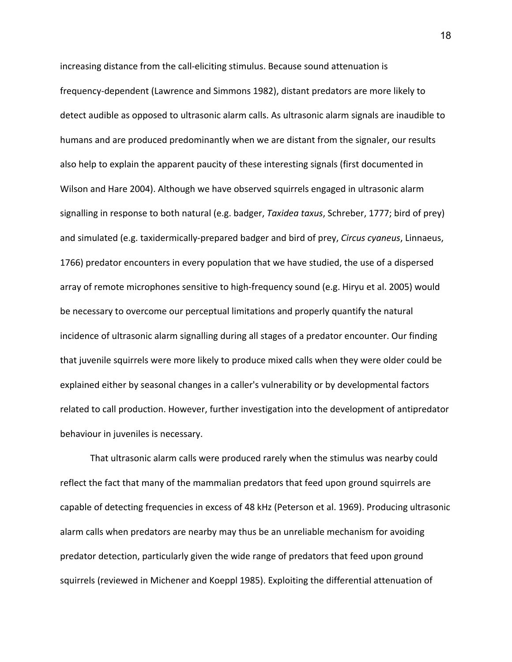increasing distance from the call-eliciting stimulus. Because sound attenuation is frequency-dependent (Lawrence and Simmons 1982), distant predators are more likely to detect audible as opposed to ultrasonic alarm calls. As ultrasonic alarm signals are inaudible to humans and are produced predominantly when we are distant from the signaler, our results also help to explain the apparent paucity of these interesting signals (first documented in Wilson and Hare 2004). Although we have observed squirrels engaged in ultrasonic alarm signalling in response to both natural (e.g. badger, *Taxidea taxus*, Schreber, 1777; bird of prey) and simulated (e.g. taxidermically-prepared badger and bird of prey, *Circus cyaneus*, Linnaeus, 1766) predator encounters in every population that we have studied, the use of a dispersed array of remote microphones sensitive to high-frequency sound (e.g. Hiryu et al. 2005) would be necessary to overcome our perceptual limitations and properly quantify the natural incidence of ultrasonic alarm signalling during all stages of a predator encounter. Our finding that juvenile squirrels were more likely to produce mixed calls when they were older could be explained either by seasonal changes in a caller's vulnerability or by developmental factors related to call production. However, further investigation into the development of antipredator behaviour in juveniles is necessary.

That ultrasonic alarm calls were produced rarely when the stimulus was nearby could reflect the fact that many of the mammalian predators that feed upon ground squirrels are capable of detecting frequencies in excess of 48 kHz (Peterson et al. 1969). Producing ultrasonic alarm calls when predators are nearby may thus be an unreliable mechanism for avoiding predator detection, particularly given the wide range of predators that feed upon ground squirrels (reviewed in Michener and Koeppl 1985). Exploiting the differential attenuation of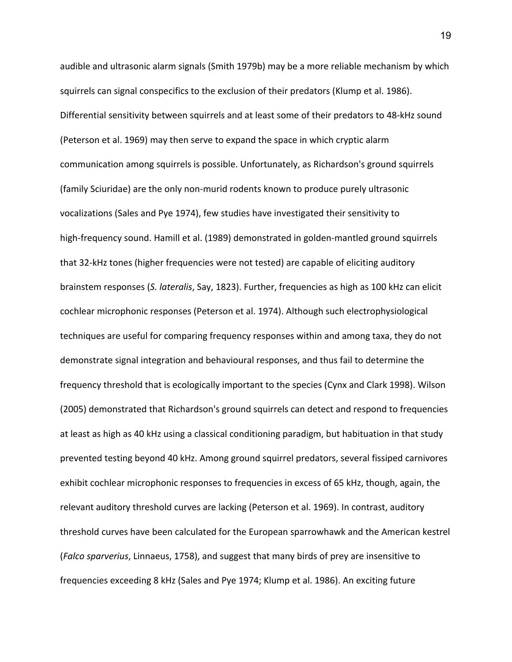audible and ultrasonic alarm signals (Smith 1979b) may be a more reliable mechanism by which squirrels can signal conspecifics to the exclusion of their predators (Klump et al. 1986). Differential sensitivity between squirrels and at least some of their predators to 48-kHz sound (Peterson et al. 1969) may then serve to expand the space in which cryptic alarm communication among squirrels is possible. Unfortunately, as Richardson's ground squirrels (family Sciuridae) are the only non-murid rodents known to produce purely ultrasonic vocalizations (Sales and Pye 1974), few studies have investigated their sensitivity to high-frequency sound. Hamill et al. (1989) demonstrated in golden-mantled ground squirrels that 32-kHz tones (higher frequencies were not tested) are capable of eliciting auditory brainstem responses (S. *lateralis*, Say, 1823). Further, frequencies as high as 100 kHz can elicit cochlear microphonic responses (Peterson et al. 1974). Although such electrophysiological techniques are useful for comparing frequency responses within and among taxa, they do not demonstrate signal integration and behavioural responses, and thus fail to determine the frequency threshold that is ecologically important to the species (Cynx and Clark 1998). Wilson (2005) demonstrated that Richardson's ground squirrels can detect and respond to frequencies at least as high as 40 kHz using a classical conditioning paradigm, but habituation in that study prevented testing beyond 40 kHz. Among ground squirrel predators, several fissiped carnivores exhibit cochlear microphonic responses to frequencies in excess of 65 kHz, though, again, the relevant auditory threshold curves are lacking (Peterson et al. 1969). In contrast, auditory threshold curves have been calculated for the European sparrowhawk and the American kestrel (*Falco sparverius*, Linnaeus, 1758), and suggest that many birds of prey are insensitive to frequencies exceeding 8 kHz (Sales and Pye 1974; Klump et al. 1986). An exciting future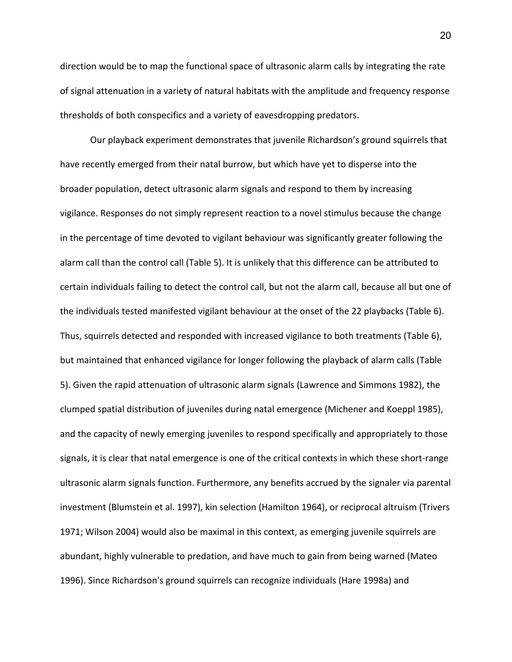direction would be to map the functional space of ultrasonic alarm calls by integrating the rate of signal attenuation in a variety of natural habitats with the amplitude and frequency response thresholds of both conspecifics and a variety of eavesdropping predators.

Our playback experiment demonstrates that juvenile Richardson's ground squirrels that have recently emerged from their natal burrow, but which have yet to disperse into the broader population, detect ultrasonic alarm signals and respond to them by increasing vigilance. Responses do not simply represent reaction to a novel stimulus because the change in the percentage of time devoted to vigilant behaviour was significantly greater following the alarm call than the control call (Table 5). It is unlikely that this difference can be attributed to certain individuals failing to detect the control call, but not the alarm call, because all but one of the individuals tested manifested vigilant behaviour at the onset of the 22 playbacks (Table 6). Thus, squirrels detected and responded with increased vigilance to both treatments (Table 6), but maintained that enhanced vigilance for longer following the playback of alarm calls (Table 5). Given the rapid attenuation of ultrasonic alarm signals (Lawrence and Simmons 1982), the clumped spatial distribution of juveniles during natal emergence (Michener and Koeppl 1985), and the capacity of newly emerging juveniles to respond specifically and appropriately to those signals, it is clear that natal emergence is one of the critical contexts in which these short-range ultrasonic alarm signals function. Furthermore, any benefits accrued by the signaler via parental investment (Blumstein et al. 1997), kin selection (Hamilton 1964), or reciprocal altruism (Trivers 1971; Wilson 2004) would also be maximal in this context, as emerging juvenile squirrels are abundant, highly vulnerable to predation, and have much to gain from being warned (Mateo 1996). Since Richardson's ground squirrels can recognize individuals (Hare 1998a) and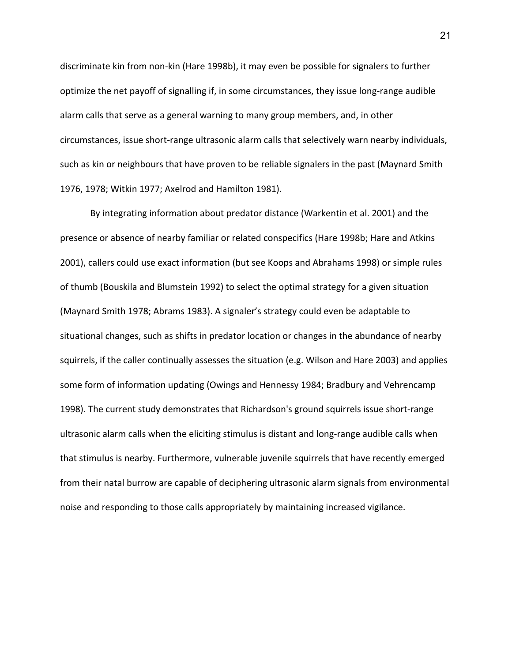discriminate kin from non-kin (Hare 1998b), it may even be possible for signalers to further optimize the net payoff of signalling if, in some circumstances, they issue long-range audible alarm calls that serve as a general warning to many group members, and, in other circumstances, issue short-range ultrasonic alarm calls that selectively warn nearby individuals, such as kin or neighbours that have proven to be reliable signalers in the past (Maynard Smith 1976, 1978; Witkin 1977; Axelrod and Hamilton 1981).

By integrating information about predator distance (Warkentin et al. 2001) and the presence or absence of nearby familiar or related conspecifics (Hare 1998b; Hare and Atkins 2001), callers could use exact information (but see Koops and Abrahams 1998) or simple rules of thumb (Bouskila and Blumstein 1992) to select the optimal strategy for a given situation (Maynard Smith 1978; Abrams 1983). A signaler's strategy could even be adaptable to situational changes, such as shifts in predator location or changes in the abundance of nearby squirrels, if the caller continually assesses the situation (e.g. Wilson and Hare 2003) and applies some form of information updating (Owings and Hennessy 1984; Bradbury and Vehrencamp 1998). The current study demonstrates that Richardson's ground squirrels issue short-range ultrasonic alarm calls when the eliciting stimulus is distant and long-range audible calls when that stimulus is nearby. Furthermore, vulnerable juvenile squirrels that have recently emerged from their natal burrow are capable of deciphering ultrasonic alarm signals from environmental noise and responding to those calls appropriately by maintaining increased vigilance.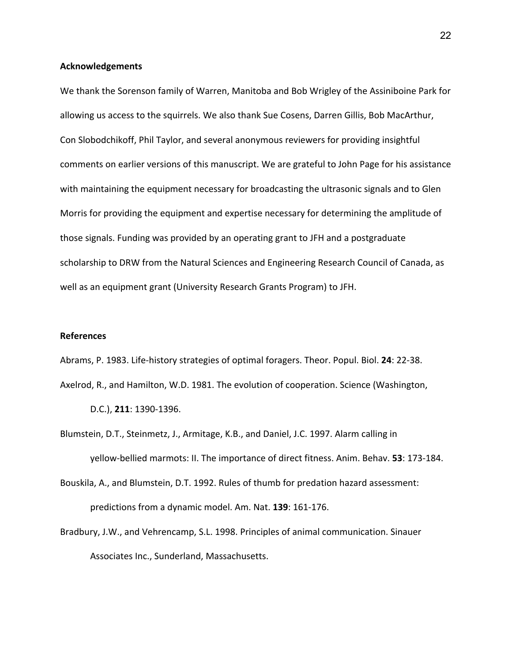## **Acknowledgements**

We thank the Sorenson family of Warren, Manitoba and Bob Wrigley of the Assiniboine Park for allowing us access to the squirrels. We also thank Sue Cosens, Darren Gillis, Bob MacArthur, Con Slobodchikoff, Phil Taylor, and several anonymous reviewers for providing insightful comments on earlier versions of this manuscript. We are grateful to John Page for his assistance with maintaining the equipment necessary for broadcasting the ultrasonic signals and to Glen Morris for providing the equipment and expertise necessary for determining the amplitude of those signals. Funding was provided by an operating grant to JFH and a postgraduate scholarship to DRW from the Natural Sciences and Engineering Research Council of Canada, as well as an equipment grant (University Research Grants Program) to JFH.

# **References**

Abrams, P. 1983. Life-history strategies of optimal foragers. Theor. Popul. Biol. 24: 22-38. Axelrod, R., and Hamilton, W.D. 1981. The evolution of cooperation. Science (Washington,

D.C.), **211**: 1390-1396.

- Blumstein, D.T., Steinmetz, J., Armitage, K.B., and Daniel, J.C. 1997. Alarm calling in yellow-bellied marmots: II. The importance of direct fitness. Anim. Behav. **53**: 173-184.
- Bouskila, A., and Blumstein, D.T. 1992. Rules of thumb for predation hazard assessment: predictions from a dynamic model. Am. Nat. **139**: 161-176.
- Bradbury, J.W., and Vehrencamp, S.L. 1998. Principles of animal communication. Sinauer Associates Inc., Sunderland, Massachusetts.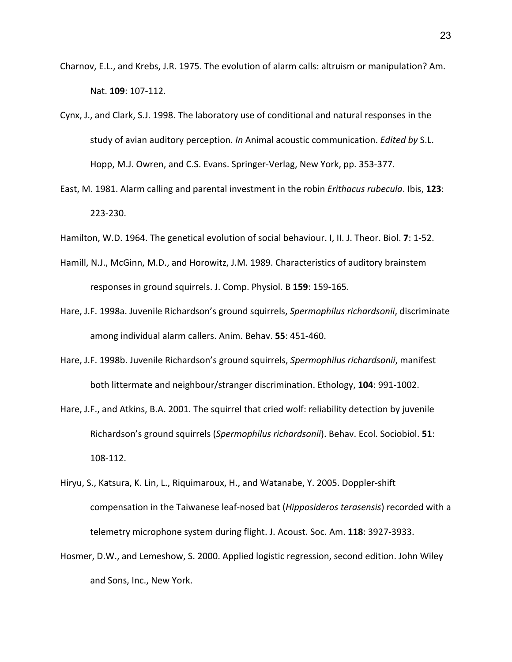- Charnov, E.L., and Krebs, J.R. 1975. The evolution of alarm calls: altruism or manipulation? Am. Nat. **109**: 107-112.
- Cynx, J., and Clark, S.J. 1998. The laboratory use of conditional and natural responses in the study of avian auditory perception. *In* Animal acoustic communication. *Edited by* S.L. Hopp, M.J. Owren, and C.S. Evans. Springer-Verlag, New York, pp. 353-377.
- East, M. 1981. Alarm calling and parental investment in the robin *Erithacus rubecula*. Ibis, 123: 223-230.
- Hamilton, W.D. 1964. The genetical evolution of social behaviour. I, II. J. Theor. Biol. 7: 1-52.
- Hamill, N.J., McGinn, M.D., and Horowitz, J.M. 1989. Characteristics of auditory brainstem responses in ground squirrels. J. Comp. Physiol. B 159: 159-165.
- Hare, J.F. 1998a. Juvenile Richardson's ground squirrels, *Spermophilus richardsonii*, discriminate among individual alarm callers. Anim. Behav. **55**: 451-460.
- Hare, J.F. 1998b. Juvenile Richardson's ground squirrels, Spermophilus richardsonii, manifest both littermate and neighbour/stranger discrimination. Ethology, 104: 991-1002.
- Hare, J.F., and Atkins, B.A. 2001. The squirrel that cried wolf: reliability detection by juvenile Richardson's ground squirrels (Spermophilus richardsonii). Behav. Ecol. Sociobiol. 51: 108-112.
- Hiryu, S., Katsura, K. Lin, L., Riquimaroux, H., and Watanabe, Y. 2005. Doppler-shift compensation in the Taiwanese leaf-nosed bat (*Hipposideros terasensis*) recorded with a telemetry microphone system during flight. J. Acoust. Soc. Am. 118: 3927-3933.
- Hosmer, D.W., and Lemeshow, S. 2000. Applied logistic regression, second edition. John Wiley and Sons, Inc., New York.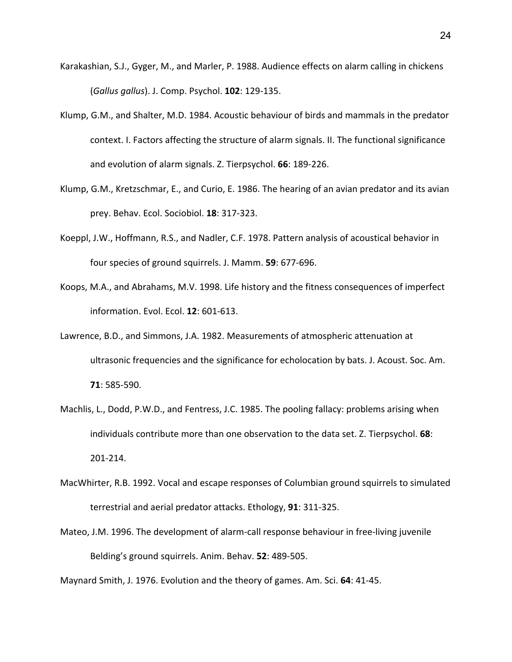- Karakashian, S.J., Gyger, M., and Marler, P. 1988. Audience effects on alarm calling in chickens (*Gallus gallus*). J. Comp. Psychol. **102**: 129-135.
- Klump, G.M., and Shalter, M.D. 1984. Acoustic behaviour of birds and mammals in the predator context. I. Factors affecting the structure of alarm signals. II. The functional significance and evolution of alarm signals. Z. Tierpsychol. 66: 189-226.
- Klump, G.M., Kretzschmar, E., and Curio, E. 1986. The hearing of an avian predator and its avian prey. Behav. Ecol. Sociobiol. **18**: 317-323.
- Koeppl, J.W., Hoffmann, R.S., and Nadler, C.F. 1978. Pattern analysis of acoustical behavior in four species of ground squirrels. J. Mamm. **59**: 677-696.
- Koops, M.A., and Abrahams, M.V. 1998. Life history and the fitness consequences of imperfect information. Evol. Ecol. **12**: 601-613.
- Lawrence, B.D., and Simmons, J.A. 1982. Measurements of atmospheric attenuation at ultrasonic frequencies and the significance for echolocation by bats. J. Acoust. Soc. Am. **71**: 585-590.
- Machlis, L., Dodd, P.W.D., and Fentress, J.C. 1985. The pooling fallacy: problems arising when individuals contribute more than one observation to the data set. Z. Tierpsychol. 68: 201-214.
- MacWhirter, R.B. 1992. Vocal and escape responses of Columbian ground squirrels to simulated terrestrial and aerial predator attacks. Ethology, **91**: 311-325.
- Mateo, J.M. 1996. The development of alarm-call response behaviour in free-living juvenile Belding's ground squirrels. Anim. Behav. **52**: 489-505.

Maynard Smith, J. 1976. Evolution and the theory of games. Am. Sci. 64: 41-45.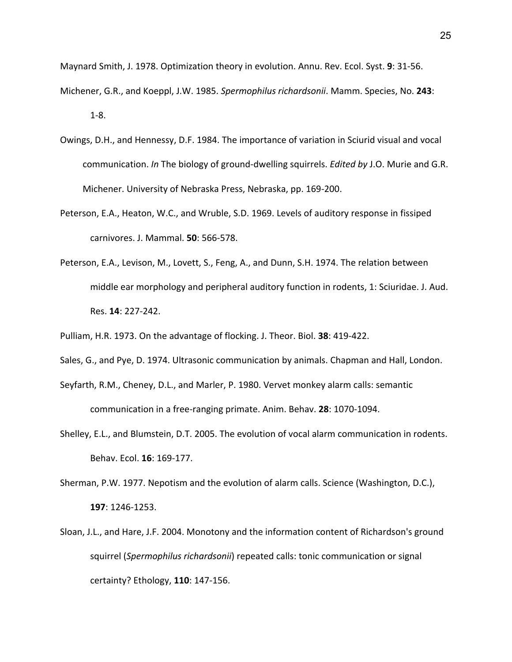Maynard Smith, J. 1978. Optimization theory in evolution. Annu. Rev. Ecol. Syst. 9: 31-56. Michener, G.R., and Koeppl, J.W. 1985. *Spermophilus richardsonii*. Mamm. Species, No. 243: 1-8.

- Owings, D.H., and Hennessy, D.F. 1984. The importance of variation in Sciurid visual and vocal communication. In The biology of ground-dwelling squirrels. *Edited by* J.O. Murie and G.R. Michener. University of Nebraska Press, Nebraska, pp. 169-200.
- Peterson, E.A., Heaton, W.C., and Wruble, S.D. 1969. Levels of auditory response in fissiped carnivores. J. Mammal. **50**: 566-578.
- Peterson, E.A., Levison, M., Lovett, S., Feng, A., and Dunn, S.H. 1974. The relation between middle ear morphology and peripheral auditory function in rodents, 1: Sciuridae. J. Aud. Res. **14**: 227-242.

Pulliam, H.R. 1973. On the advantage of flocking. J. Theor. Biol. 38: 419-422.

Sales, G., and Pye, D. 1974. Ultrasonic communication by animals. Chapman and Hall, London.

- Seyfarth, R.M., Cheney, D.L., and Marler, P. 1980. Vervet monkey alarm calls: semantic communication in a free-ranging primate. Anim. Behav. **28**: 1070-1094.
- Shelley, E.L., and Blumstein, D.T. 2005. The evolution of vocal alarm communication in rodents. Behav. Ecol. **16**: 169-177.
- Sherman, P.W. 1977. Nepotism and the evolution of alarm calls. Science (Washington, D.C.), **197**: 1246-1253.
- Sloan, J.L., and Hare, J.F. 2004. Monotony and the information content of Richardson's ground squirrel (*Spermophilus richardsonii*) repeated calls: tonic communication or signal certainty? Ethology, **110**: 147-156.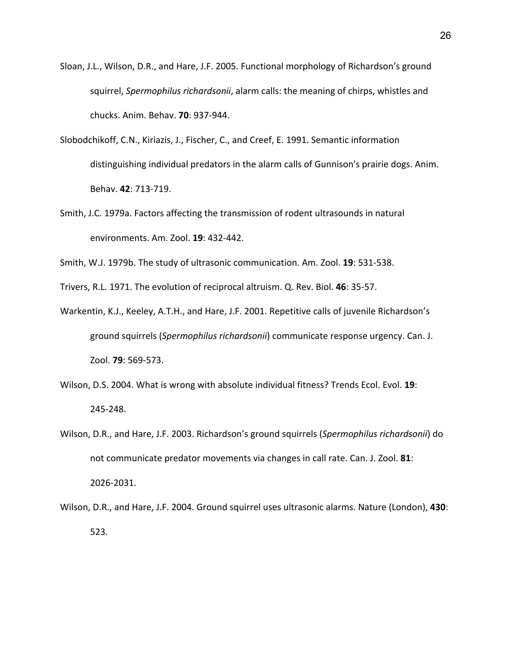- Sloan, J.L., Wilson, D.R., and Hare, J.F. 2005. Functional morphology of Richardson's ground squirrel, *Spermophilus richardsonii*, alarm calls: the meaning of chirps, whistles and chucks. Anim. Behav. **70**: 937-944.
- Slobodchikoff, C.N., Kiriazis, J., Fischer, C., and Creef, E. 1991. Semantic information distinguishing individual predators in the alarm calls of Gunnison's prairie dogs. Anim. Behav. **42**: 713-719.
- Smith, J.C. 1979a. Factors affecting the transmission of rodent ultrasounds in natural environments. Am. Zool. **19**: 432-442.

Smith, W.J. 1979b. The study of ultrasonic communication. Am. Zool. 19: 531-538.

Trivers, R.L. 1971. The evolution of reciprocal altruism. Q. Rev. Biol. 46: 35-57.

- Warkentin, K.J., Keeley, A.T.H., and Hare, J.F. 2001. Repetitive calls of juvenile Richardson's ground squirrels (Spermophilus richardsonii) communicate response urgency. Can. J. Zool. **79**: 569-573.
- Wilson, D.S. 2004. What is wrong with absolute individual fitness? Trends Ecol. Evol. 19: 245-248.
- Wilson, D.R., and Hare, J.F. 2003. Richardson's ground squirrels (Spermophilus richardsonii) do not communicate predator movements via changes in call rate. Can. J. Zool. 81: 2026-2031.
- Wilson, D.R., and Hare, J.F. 2004. Ground squirrel uses ultrasonic alarms. Nature (London), 430: 523.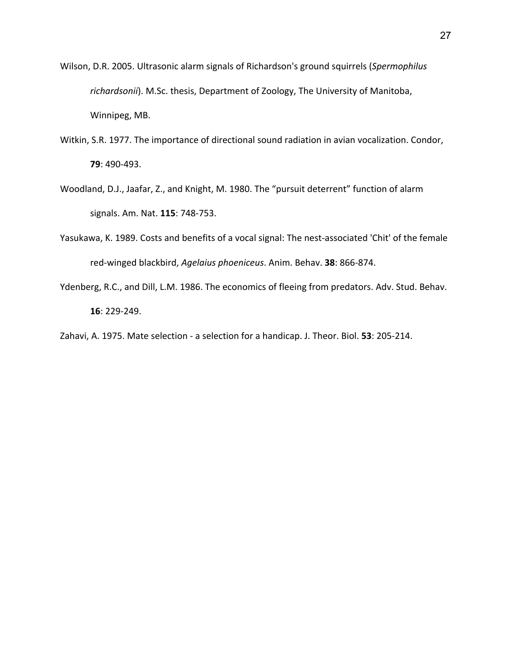- Wilson, D.R. 2005. Ultrasonic alarm signals of Richardson's ground squirrels (Spermophilus richardsonii). M.Sc. thesis, Department of Zoology, The University of Manitoba, Winnipeg, MB.
- Witkin, S.R. 1977. The importance of directional sound radiation in avian vocalization. Condor, **79**: 490-493.
- Woodland, D.J., Jaafar, Z., and Knight, M. 1980. The "pursuit deterrent" function of alarm signals. Am. Nat. **115**: 748-753.
- Yasukawa, K. 1989. Costs and benefits of a vocal signal: The nest-associated 'Chit' of the female red-winged blackbird, *Agelaius phoeniceus*. Anim. Behav. 38: 866-874.
- Ydenberg, R.C., and Dill, L.M. 1986. The economics of fleeing from predators. Adv. Stud. Behav. **16**: 229-249.

Zahavi, A. 1975. Mate selection - a selection for a handicap. J. Theor. Biol. 53: 205-214.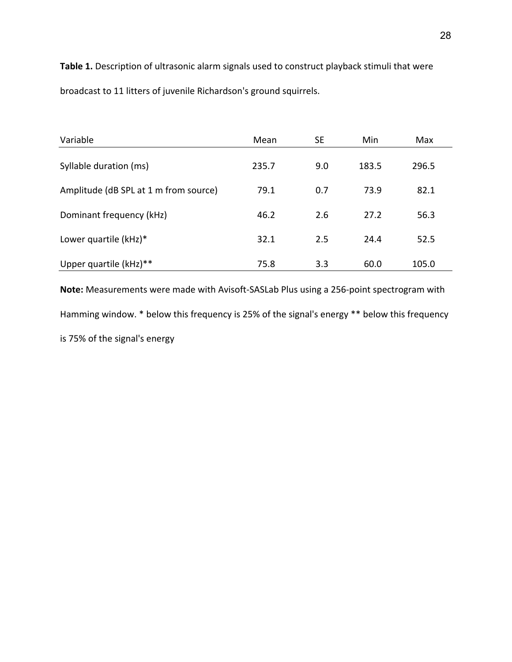Table 1. Description of ultrasonic alarm signals used to construct playback stimuli that were broadcast to 11 litters of juvenile Richardson's ground squirrels.

| Variable                              | Mean  | SE. | Min   | Max   |
|---------------------------------------|-------|-----|-------|-------|
| Syllable duration (ms)                | 235.7 | 9.0 | 183.5 | 296.5 |
| Amplitude (dB SPL at 1 m from source) | 79.1  | 0.7 | 73.9  | 82.1  |
| Dominant frequency (kHz)              | 46.2  | 2.6 | 27.2  | 56.3  |
| Lower quartile (kHz)*                 | 32.1  | 2.5 | 24.4  | 52.5  |
| Upper quartile (kHz)**                | 75.8  | 3.3 | 60.0  | 105.0 |

Note: Measurements were made with Avisoft-SASLab Plus using a 256-point spectrogram with Hamming window. \* below this frequency is 25% of the signal's energy \*\* below this frequency is 75% of the signal's energy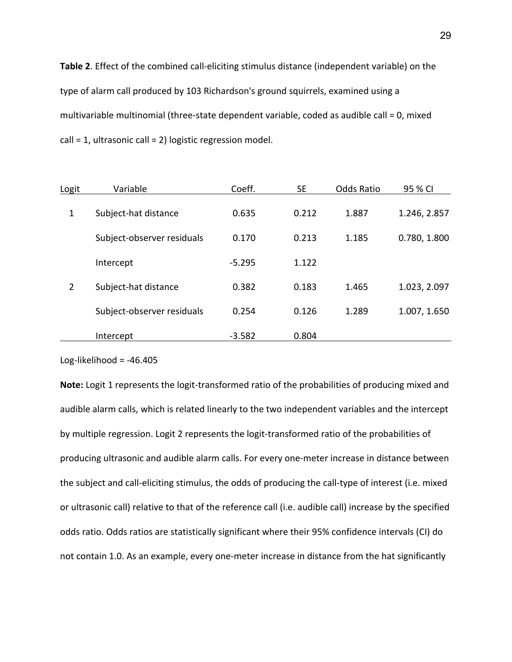Table 2. Effect of the combined call-eliciting stimulus distance (independent variable) on the type of alarm call produced by 103 Richardson's ground squirrels, examined using a multivariable multinomial (three-state dependent variable, coded as audible call =  $0$ , mixed  $call = 1$ , ultrasonic call = 2) logistic regression model.

| Logit | Variable                   | Coeff.   | <b>SE</b> | <b>Odds Ratio</b> | 95 % CI      |
|-------|----------------------------|----------|-----------|-------------------|--------------|
| 1     | Subject-hat distance       | 0.635    | 0.212     | 1.887             | 1.246, 2.857 |
|       | Subject-observer residuals | 0.170    | 0.213     | 1.185             | 0.780, 1.800 |
|       | Intercept                  | $-5.295$ | 1.122     |                   |              |
| 2     | Subject-hat distance       | 0.382    | 0.183     | 1.465             | 1.023, 2.097 |
|       | Subject-observer residuals | 0.254    | 0.126     | 1.289             | 1.007, 1.650 |
|       | Intercept                  | $-3.582$ | 0.804     |                   |              |

## Log-likelihood =  $-46.405$

**Note:** Logit 1 represents the logit-transformed ratio of the probabilities of producing mixed and audible alarm calls, which is related linearly to the two independent variables and the intercept by multiple regression. Logit 2 represents the logit-transformed ratio of the probabilities of producing ultrasonic and audible alarm calls. For every one-meter increase in distance between the subject and call-eliciting stimulus, the odds of producing the call-type of interest (i.e. mixed or ultrasonic call) relative to that of the reference call (i.e. audible call) increase by the specified odds ratio. Odds ratios are statistically significant where their 95% confidence intervals (CI) do not contain 1.0. As an example, every one-meter increase in distance from the hat significantly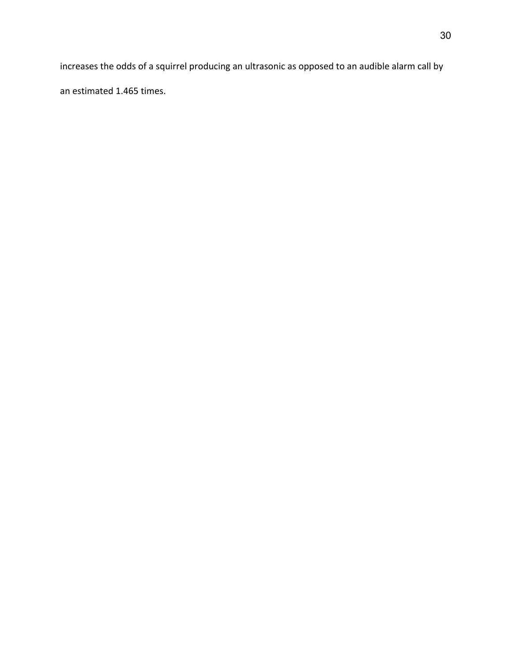increases the odds of a squirrel producing an ultrasonic as opposed to an audible alarm call by an estimated 1.465 times.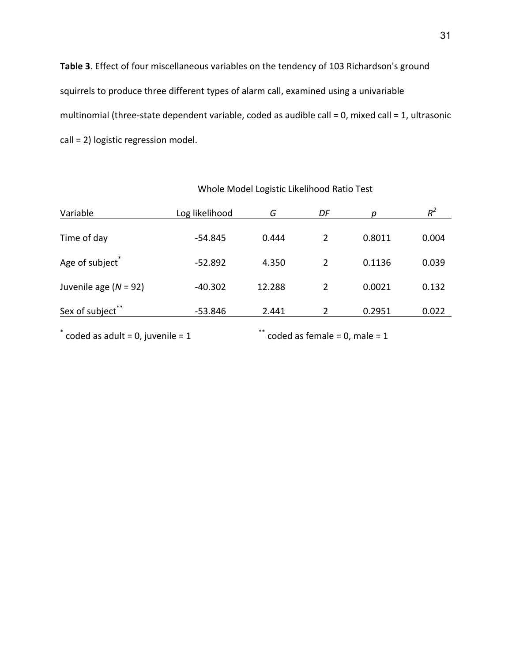Table 3. Effect of four miscellaneous variables on the tendency of 103 Richardson's ground squirrels to produce three different types of alarm call, examined using a univariable multinomial (three-state dependent variable, coded as audible call = 0, mixed call = 1, ultrasonic call = 2) logistic regression model.

|                             | Whole Model Logistic Likelihood Ratio Test |        |    |        |       |
|-----------------------------|--------------------------------------------|--------|----|--------|-------|
| Variable                    | Log likelihood                             | G      | DF | n      | $R^2$ |
| Time of day                 | $-54.845$                                  | 0.444  | 2  | 0.8011 | 0.004 |
| Age of subject <sup>®</sup> | $-52.892$                                  | 4.350  | 2  | 0.1136 | 0.039 |
| Juvenile age $(N = 92)$     | $-40.302$                                  | 12.288 | 2  | 0.0021 | 0.132 |
| Sex of subject**            | $-53.846$                                  | 2.441  | 2  | 0.2951 | 0.022 |
| $\ast$                      |                                            | $***$  |    |        |       |

coded as adult = 0, juvenile =  $1$  \*\*\* coded as female = 0, male =  $1$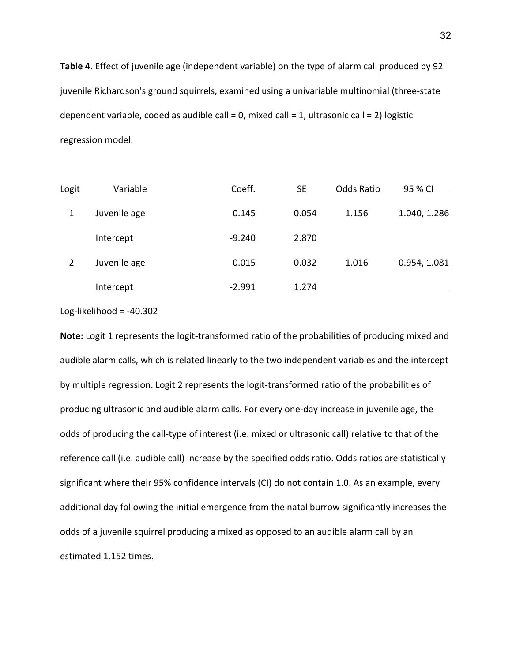**Table 4**. Effect of juvenile age (independent variable) on the type of alarm call produced by 92 juvenile Richardson's ground squirrels, examined using a univariable multinomial (three-state dependent variable, coded as audible call = 0, mixed call = 1, ultrasonic call = 2) logistic regression model.

| Logit | Variable     | Coeff.   | <b>SE</b> | <b>Odds Ratio</b> | 95 % CI      |
|-------|--------------|----------|-----------|-------------------|--------------|
| 1     | Juvenile age | 0.145    | 0.054     | 1.156             | 1.040, 1.286 |
|       | Intercept    | $-9.240$ | 2.870     |                   |              |
| 2     | Juvenile age | 0.015    | 0.032     | 1.016             | 0.954, 1.081 |
|       | Intercept    | $-2.991$ | 1.274     |                   |              |

Log-likelihood =  $-40.302$ 

**Note:** Logit 1 represents the logit-transformed ratio of the probabilities of producing mixed and audible alarm calls, which is related linearly to the two independent variables and the intercept by multiple regression. Logit 2 represents the logit-transformed ratio of the probabilities of producing ultrasonic and audible alarm calls. For every one-day increase in juvenile age, the odds of producing the call-type of interest (i.e. mixed or ultrasonic call) relative to that of the reference call (i.e. audible call) increase by the specified odds ratio. Odds ratios are statistically significant where their 95% confidence intervals (CI) do not contain 1.0. As an example, every additional day following the initial emergence from the natal burrow significantly increases the odds of a juvenile squirrel producing a mixed as opposed to an audible alarm call by an estimated 1.152 times.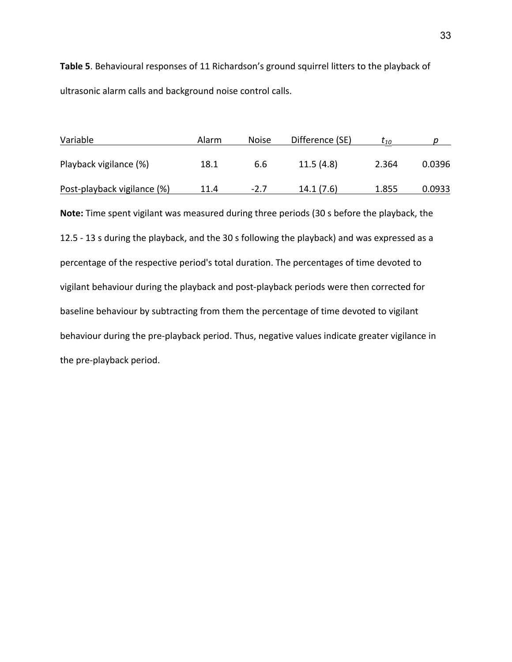Table 5. Behavioural responses of 11 Richardson's ground squirrel litters to the playback of ultrasonic alarm calls and background noise control calls.

| Variable                    | Alarm | <b>Noise</b> | Difference (SE) | T10   |        |
|-----------------------------|-------|--------------|-----------------|-------|--------|
| Playback vigilance (%)      | 18.1  | 6.6          | 11.5(4.8)       | 2.364 | 0.0396 |
| Post-playback vigilance (%) | 11.4  | $-2.7$       | 14.1(7.6)       | 1.855 | 0.0933 |

**Note:** Time spent vigilant was measured during three periods (30 s before the playback, the 12.5 - 13 s during the playback, and the 30 s following the playback) and was expressed as a percentage of the respective period's total duration. The percentages of time devoted to vigilant behaviour during the playback and post-playback periods were then corrected for baseline behaviour by subtracting from them the percentage of time devoted to vigilant behaviour during the pre-playback period. Thus, negative values indicate greater vigilance in the pre-playback period.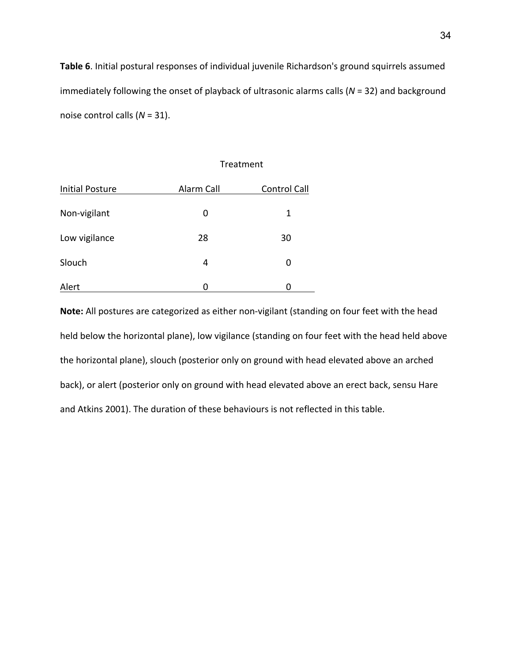Table 6. Initial postural responses of individual juvenile Richardson's ground squirrels assumed immediately following the onset of playback of ultrasonic alarms calls (*N* = 32) and background noise control calls (*N* = 31).

|                        | Treatment  |                     |  |  |
|------------------------|------------|---------------------|--|--|
| <b>Initial Posture</b> | Alarm Call | <b>Control Call</b> |  |  |
| Non-vigilant           | 0          | 1                   |  |  |
| Low vigilance          | 28         | 30                  |  |  |
| Slouch                 | 4          | 0                   |  |  |
| Alert                  | O          |                     |  |  |

Note: All postures are categorized as either non-vigilant (standing on four feet with the head held below the horizontal plane), low vigilance (standing on four feet with the head held above the horizontal plane), slouch (posterior only on ground with head elevated above an arched back), or alert (posterior only on ground with head elevated above an erect back, sensu Hare and Atkins 2001). The duration of these behaviours is not reflected in this table.